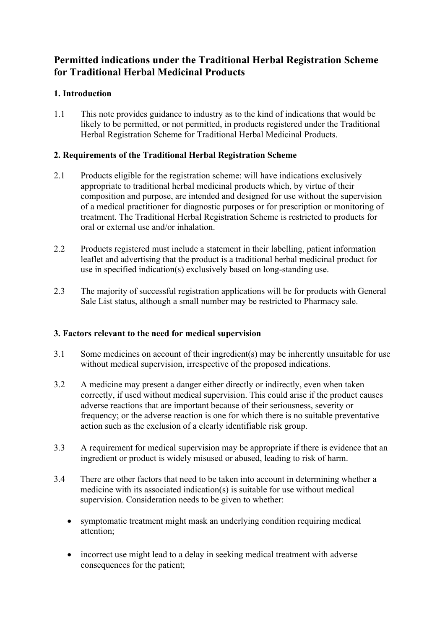# **Permitted indications under the Traditional Herbal Registration Scheme for Traditional Herbal Medicinal Products**

## **1. Introduction**

1.1 This note provides guidance to industry as to the kind of indications that would be likely to be permitted, or not permitted, in products registered under the Traditional Herbal Registration Scheme for Traditional Herbal Medicinal Products.

### **2. Requirements of the Traditional Herbal Registration Scheme**

- 2.1 Products eligible for the registration scheme: will have indications exclusively appropriate to traditional herbal medicinal products which, by virtue of their composition and purpose, are intended and designed for use without the supervision of a medical practitioner for diagnostic purposes or for prescription or monitoring of treatment. The Traditional Herbal Registration Scheme is restricted to products for oral or external use and/or inhalation.
- 2.2 Products registered must include a statement in their labelling, patient information leaflet and advertising that the product is a traditional herbal medicinal product for use in specified indication(s) exclusively based on long-standing use.
- 2.3 The majority of successful registration applications will be for products with General Sale List status, although a small number may be restricted to Pharmacy sale.

### **3. Factors relevant to the need for medical supervision**

- 3.1 Some medicines on account of their ingredient(s) may be inherently unsuitable for use without medical supervision, irrespective of the proposed indications.
- 3.2 A medicine may present a danger either directly or indirectly, even when taken correctly, if used without medical supervision. This could arise if the product causes adverse reactions that are important because of their seriousness, severity or frequency; or the adverse reaction is one for which there is no suitable preventative action such as the exclusion of a clearly identifiable risk group.
- 3.3 A requirement for medical supervision may be appropriate if there is evidence that an ingredient or product is widely misused or abused, leading to risk of harm.
- 3.4 There are other factors that need to be taken into account in determining whether a medicine with its associated indication(s) is suitable for use without medical supervision. Consideration needs to be given to whether:
	- symptomatic treatment might mask an underlying condition requiring medical attention;
	- incorrect use might lead to a delay in seeking medical treatment with adverse consequences for the patient;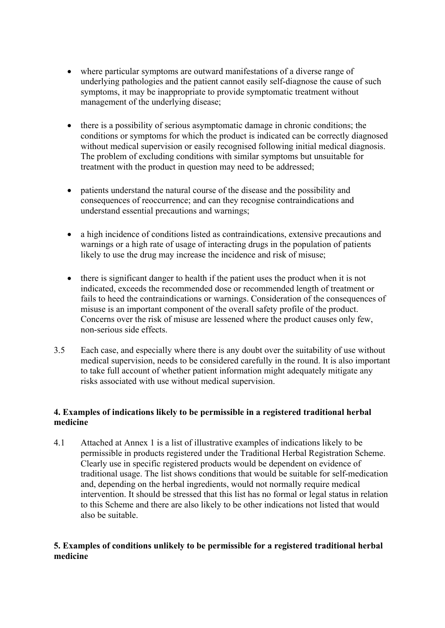- where particular symptoms are outward manifestations of a diverse range of underlying pathologies and the patient cannot easily self-diagnose the cause of such symptoms, it may be inappropriate to provide symptomatic treatment without management of the underlying disease;
- there is a possibility of serious asymptomatic damage in chronic conditions; the conditions or symptoms for which the product is indicated can be correctly diagnosed without medical supervision or easily recognised following initial medical diagnosis. The problem of excluding conditions with similar symptoms but unsuitable for treatment with the product in question may need to be addressed;
- patients understand the natural course of the disease and the possibility and consequences of reoccurrence; and can they recognise contraindications and understand essential precautions and warnings;
- a high incidence of conditions listed as contraindications, extensive precautions and warnings or a high rate of usage of interacting drugs in the population of patients likely to use the drug may increase the incidence and risk of misuse;
- there is significant danger to health if the patient uses the product when it is not indicated, exceeds the recommended dose or recommended length of treatment or fails to heed the contraindications or warnings. Consideration of the consequences of misuse is an important component of the overall safety profile of the product. Concerns over the risk of misuse are lessened where the product causes only few, non-serious side effects.
- 3.5 Each case, and especially where there is any doubt over the suitability of use without medical supervision, needs to be considered carefully in the round. It is also important to take full account of whether patient information might adequately mitigate any risks associated with use without medical supervision.

### **4. Examples of indications likely to be permissible in a registered traditional herbal medicine**

4.1 Attached at Annex 1 is a list of illustrative examples of indications likely to be permissible in products registered under the Traditional Herbal Registration Scheme. Clearly use in specific registered products would be dependent on evidence of traditional usage. The list shows conditions that would be suitable for self-medication and, depending on the herbal ingredients, would not normally require medical intervention. It should be stressed that this list has no formal or legal status in relation to this Scheme and there are also likely to be other indications not listed that would also be suitable.

### **5. Examples of conditions unlikely to be permissible for a registered traditional herbal medicine**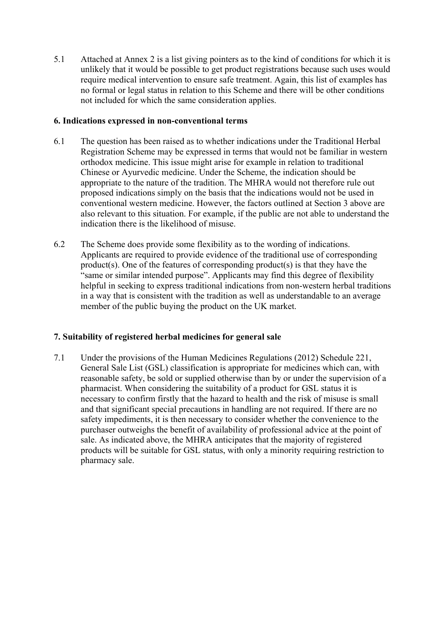5.1 Attached at Annex 2 is a list giving pointers as to the kind of conditions for which it is unlikely that it would be possible to get product registrations because such uses would require medical intervention to ensure safe treatment. Again, this list of examples has no formal or legal status in relation to this Scheme and there will be other conditions not included for which the same consideration applies.

#### **6. Indications expressed in non-conventional terms**

- 6.1 The question has been raised as to whether indications under the Traditional Herbal Registration Scheme may be expressed in terms that would not be familiar in western orthodox medicine. This issue might arise for example in relation to traditional Chinese or Ayurvedic medicine. Under the Scheme, the indication should be appropriate to the nature of the tradition. The MHRA would not therefore rule out proposed indications simply on the basis that the indications would not be used in conventional western medicine. However, the factors outlined at Section 3 above are also relevant to this situation. For example, if the public are not able to understand the indication there is the likelihood of misuse.
- 6.2 The Scheme does provide some flexibility as to the wording of indications. Applicants are required to provide evidence of the traditional use of corresponding product(s). One of the features of corresponding product(s) is that they have the "same or similar intended purpose". Applicants may find this degree of flexibility helpful in seeking to express traditional indications from non-western herbal traditions in a way that is consistent with the tradition as well as understandable to an average member of the public buying the product on the UK market.

### **7. Suitability of registered herbal medicines for general sale**

7.1 Under the provisions of the Human Medicines Regulations (2012) Schedule 221, General Sale List (GSL) classification is appropriate for medicines which can, with reasonable safety, be sold or supplied otherwise than by or under the supervision of a pharmacist. When considering the suitability of a product for GSL status it is necessary to confirm firstly that the hazard to health and the risk of misuse is small and that significant special precautions in handling are not required. If there are no safety impediments, it is then necessary to consider whether the convenience to the purchaser outweighs the benefit of availability of professional advice at the point of sale. As indicated above, the MHRA anticipates that the majority of registered products will be suitable for GSL status, with only a minority requiring restriction to pharmacy sale.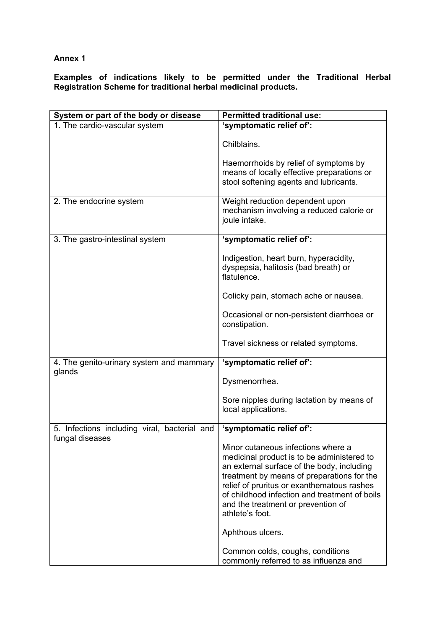#### **Annex 1**

**Examples of indications likely to be permitted under the Traditional Herbal Registration Scheme for traditional herbal medicinal products.** 

| System or part of the body or disease                           | <b>Permitted traditional use:</b>                                                                                                                                                                                                                                                                                                    |
|-----------------------------------------------------------------|--------------------------------------------------------------------------------------------------------------------------------------------------------------------------------------------------------------------------------------------------------------------------------------------------------------------------------------|
| 1. The cardio-vascular system                                   | 'symptomatic relief of':                                                                                                                                                                                                                                                                                                             |
|                                                                 | Chilblains.                                                                                                                                                                                                                                                                                                                          |
|                                                                 | Haemorrhoids by relief of symptoms by<br>means of locally effective preparations or<br>stool softening agents and lubricants.                                                                                                                                                                                                        |
| 2. The endocrine system                                         | Weight reduction dependent upon<br>mechanism involving a reduced calorie or<br>joule intake.                                                                                                                                                                                                                                         |
| 3. The gastro-intestinal system                                 | 'symptomatic relief of':                                                                                                                                                                                                                                                                                                             |
|                                                                 | Indigestion, heart burn, hyperacidity,<br>dyspepsia, halitosis (bad breath) or<br>flatulence.                                                                                                                                                                                                                                        |
|                                                                 | Colicky pain, stomach ache or nausea.                                                                                                                                                                                                                                                                                                |
|                                                                 | Occasional or non-persistent diarrhoea or<br>constipation.                                                                                                                                                                                                                                                                           |
|                                                                 | Travel sickness or related symptoms.                                                                                                                                                                                                                                                                                                 |
| 4. The genito-urinary system and mammary<br>glands              | 'symptomatic relief of':                                                                                                                                                                                                                                                                                                             |
|                                                                 | Dysmenorrhea.                                                                                                                                                                                                                                                                                                                        |
|                                                                 | Sore nipples during lactation by means of<br>local applications.                                                                                                                                                                                                                                                                     |
| 5. Infections including viral, bacterial and<br>fungal diseases | 'symptomatic relief of':                                                                                                                                                                                                                                                                                                             |
|                                                                 | Minor cutaneous infections where a<br>medicinal product is to be administered to<br>an external surface of the body, including<br>treatment by means of preparations for the<br>relief of pruritus or exanthematous rashes<br>of childhood infection and treatment of boils<br>and the treatment or prevention of<br>athlete's foot. |
|                                                                 | Aphthous ulcers.                                                                                                                                                                                                                                                                                                                     |
|                                                                 | Common colds, coughs, conditions<br>commonly referred to as influenza and                                                                                                                                                                                                                                                            |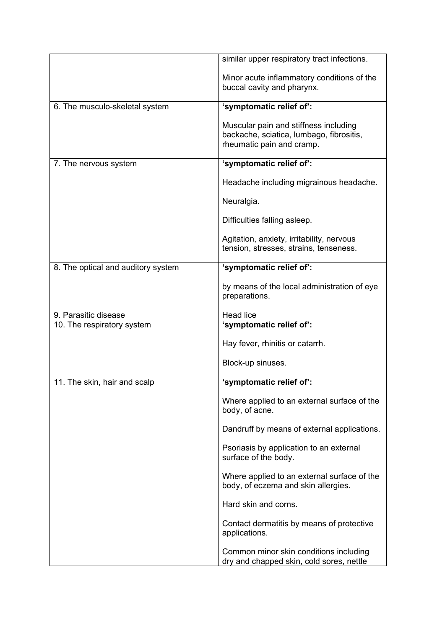|                                    | similar upper respiratory tract infections.                                                                    |
|------------------------------------|----------------------------------------------------------------------------------------------------------------|
|                                    | Minor acute inflammatory conditions of the<br>buccal cavity and pharynx.                                       |
| 6. The musculo-skeletal system     | 'symptomatic relief of':                                                                                       |
|                                    | Muscular pain and stiffness including<br>backache, sciatica, lumbago, fibrositis,<br>rheumatic pain and cramp. |
| 7. The nervous system              | 'symptomatic relief of':                                                                                       |
|                                    | Headache including migrainous headache.                                                                        |
|                                    | Neuralgia.                                                                                                     |
|                                    | Difficulties falling asleep.                                                                                   |
|                                    | Agitation, anxiety, irritability, nervous<br>tension, stresses, strains, tenseness.                            |
| 8. The optical and auditory system | 'symptomatic relief of':                                                                                       |
|                                    | by means of the local administration of eye<br>preparations.                                                   |
| 9. Parasitic disease               | <b>Head lice</b>                                                                                               |
| 10. The respiratory system         | 'symptomatic relief of':                                                                                       |
|                                    | Hay fever, rhinitis or catarrh.                                                                                |
|                                    | Block-up sinuses.                                                                                              |
| 11. The skin, hair and scalp       | 'symptomatic relief of':                                                                                       |
|                                    | Where applied to an external surface of the<br>body, of acne.                                                  |
|                                    | Dandruff by means of external applications.                                                                    |
|                                    | Psoriasis by application to an external<br>surface of the body.                                                |
|                                    | Where applied to an external surface of the<br>body, of eczema and skin allergies.                             |
|                                    | Hard skin and corns.                                                                                           |
|                                    |                                                                                                                |
|                                    | Contact dermatitis by means of protective<br>applications.                                                     |